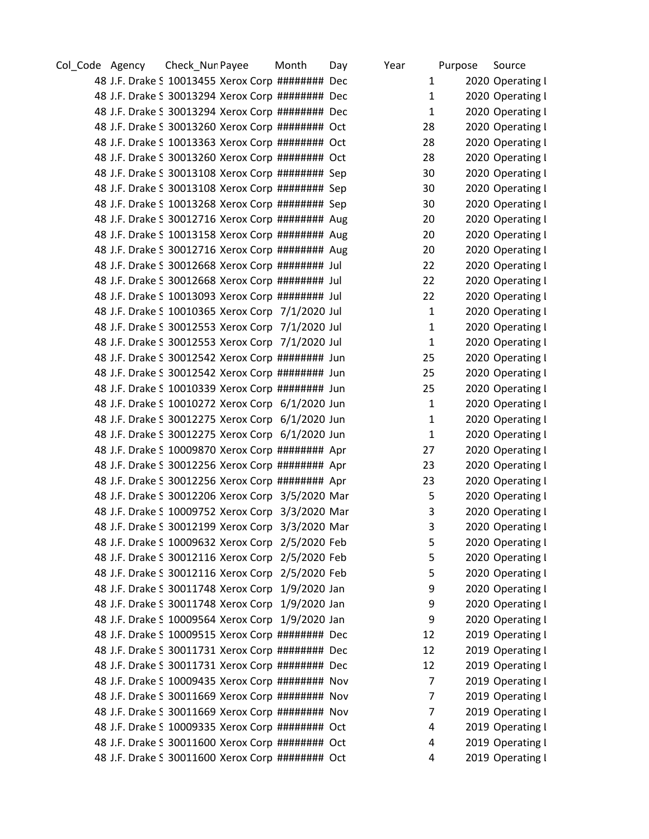| Col_Code Agency | Check_Nun Payee |                                                  | Month | Day | Year         | Purpose | Source           |
|-----------------|-----------------|--------------------------------------------------|-------|-----|--------------|---------|------------------|
|                 |                 | 48 J.F. Drake S 10013455 Xerox Corp ######## Dec |       |     | 1            |         | 2020 Operating I |
|                 |                 | 48 J.F. Drake S 30013294 Xerox Corp ######## Dec |       |     | 1            |         | 2020 Operating I |
|                 |                 | 48 J.F. Drake S 30013294 Xerox Corp ######## Dec |       |     | 1            |         | 2020 Operating I |
|                 |                 | 48 J.F. Drake S 30013260 Xerox Corp ######## Oct |       |     | 28           |         | 2020 Operating I |
|                 |                 | 48 J.F. Drake S 10013363 Xerox Corp ######## Oct |       |     | 28           |         | 2020 Operating I |
|                 |                 | 48 J.F. Drake S 30013260 Xerox Corp ######## Oct |       |     | 28           |         | 2020 Operating I |
|                 |                 | 48 J.F. Drake S 30013108 Xerox Corp ######## Sep |       |     | 30           |         | 2020 Operating I |
|                 |                 | 48 J.F. Drake S 30013108 Xerox Corp ######## Sep |       |     | 30           |         | 2020 Operating I |
|                 |                 | 48 J.F. Drake S 10013268 Xerox Corp ######## Sep |       |     | 30           |         | 2020 Operating I |
|                 |                 | 48 J.F. Drake S 30012716 Xerox Corp ######## Aug |       |     | 20           |         | 2020 Operating I |
|                 |                 | 48 J.F. Drake S 10013158 Xerox Corp ######## Aug |       |     | 20           |         | 2020 Operating I |
|                 |                 | 48 J.F. Drake S 30012716 Xerox Corp ######## Aug |       |     | 20           |         | 2020 Operating I |
|                 |                 | 48 J.F. Drake S 30012668 Xerox Corp ######## Jul |       |     | 22           |         | 2020 Operating I |
|                 |                 | 48 J.F. Drake S 30012668 Xerox Corp ######## Jul |       |     | 22           |         | 2020 Operating I |
|                 |                 | 48 J.F. Drake S 10013093 Xerox Corp ######## Jul |       |     | 22           |         | 2020 Operating I |
|                 |                 | 48 J.F. Drake S 10010365 Xerox Corp 7/1/2020 Jul |       |     | $\mathbf{1}$ |         | 2020 Operating I |
|                 |                 | 48 J.F. Drake S 30012553 Xerox Corp 7/1/2020 Jul |       |     | $\mathbf{1}$ |         | 2020 Operating I |
|                 |                 | 48 J.F. Drake S 30012553 Xerox Corp 7/1/2020 Jul |       |     | $\mathbf{1}$ |         | 2020 Operating I |
|                 |                 | 48 J.F. Drake S 30012542 Xerox Corp ######## Jun |       |     | 25           |         | 2020 Operating I |
|                 |                 | 48 J.F. Drake S 30012542 Xerox Corp ######## Jun |       |     | 25           |         | 2020 Operating I |
|                 |                 | 48 J.F. Drake S 10010339 Xerox Corp ######## Jun |       |     | 25           |         | 2020 Operating I |
|                 |                 | 48 J.F. Drake S 10010272 Xerox Corp 6/1/2020 Jun |       |     | 1            |         | 2020 Operating I |
|                 |                 | 48 J.F. Drake S 30012275 Xerox Corp 6/1/2020 Jun |       |     | $\mathbf{1}$ |         | 2020 Operating I |
|                 |                 | 48 J.F. Drake S 30012275 Xerox Corp 6/1/2020 Jun |       |     | $\mathbf{1}$ |         | 2020 Operating I |
|                 |                 | 48 J.F. Drake S 10009870 Xerox Corp ######## Apr |       |     | 27           |         | 2020 Operating I |
|                 |                 | 48 J.F. Drake S 30012256 Xerox Corp ######## Apr |       |     | 23           |         | 2020 Operating I |
|                 |                 | 48 J.F. Drake S 30012256 Xerox Corp ######## Apr |       |     | 23           |         | 2020 Operating I |
|                 |                 | 48 J.F. Drake S 30012206 Xerox Corp 3/5/2020 Mar |       |     | 5            |         | 2020 Operating I |
|                 |                 | 48 J.F. Drake S 10009752 Xerox Corp 3/3/2020 Mar |       |     | 3            |         | 2020 Operating I |
|                 |                 | 48 J.F. Drake S 30012199 Xerox Corp 3/3/2020 Mar |       |     | 3            |         | 2020 Operating I |
|                 |                 | 48 J.F. Drake S 10009632 Xerox Corp 2/5/2020 Feb |       |     | 5            |         | 2020 Operating I |
|                 |                 | 48 J.F. Drake S 30012116 Xerox Corp 2/5/2020 Feb |       |     | 5.           |         | 2020 Operating I |
|                 |                 | 48 J.F. Drake S 30012116 Xerox Corp 2/5/2020 Feb |       |     | 5            |         | 2020 Operating I |
|                 |                 | 48 J.F. Drake S 30011748 Xerox Corp 1/9/2020 Jan |       |     | 9            |         | 2020 Operating I |
|                 |                 | 48 J.F. Drake S 30011748 Xerox Corp 1/9/2020 Jan |       |     | 9            |         | 2020 Operating I |
|                 |                 | 48 J.F. Drake S 10009564 Xerox Corp 1/9/2020 Jan |       |     | 9            |         | 2020 Operating I |
|                 |                 | 48 J.F. Drake S 10009515 Xerox Corp ######## Dec |       |     | 12           |         | 2019 Operating I |
|                 |                 | 48 J.F. Drake S 30011731 Xerox Corp ######## Dec |       |     | 12           |         | 2019 Operating I |
|                 |                 | 48 J.F. Drake S 30011731 Xerox Corp ######## Dec |       |     | 12           |         | 2019 Operating I |
|                 |                 | 48 J.F. Drake S 10009435 Xerox Corp ######## Nov |       |     | 7            |         | 2019 Operating I |
|                 |                 | 48 J.F. Drake S 30011669 Xerox Corp ######## Nov |       |     | 7            |         | 2019 Operating I |
|                 |                 | 48 J.F. Drake S 30011669 Xerox Corp ######## Nov |       |     | 7            |         | 2019 Operating I |
|                 |                 | 48 J.F. Drake S 10009335 Xerox Corp ######## Oct |       |     | 4            |         | 2019 Operating I |
|                 |                 | 48 J.F. Drake S 30011600 Xerox Corp ######## Oct |       |     | 4            |         | 2019 Operating I |
|                 |                 | 48 J.F. Drake S 30011600 Xerox Corp ######## Oct |       |     | 4            |         | 2019 Operating I |
|                 |                 |                                                  |       |     |              |         |                  |